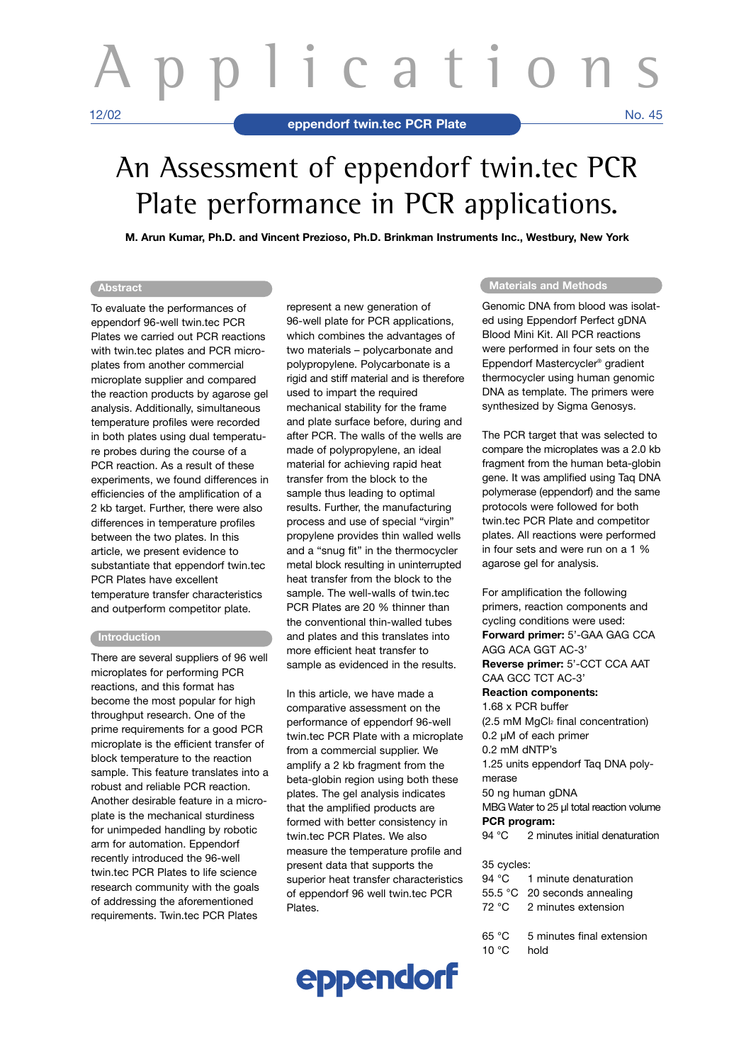# An Assessment of eppendorf twin.tec PCR Plate performance in PCR applications.

**M. Arun Kumar, Ph.D. and Vincent Prezioso, Ph.D. Brinkman Instruments Inc., Westbury, New York**

### **Abstract**

To evaluate the performances of eppendorf 96-well twin.tec PCR Plates we carried out PCR reactions with twin.tec plates and PCR microplates from another commercial microplate supplier and compared the reaction products by agarose gel analysis. Additionally, simultaneous temperature profiles were recorded in both plates using dual temperature probes during the course of a PCR reaction. As a result of these experiments, we found differences in efficiencies of the amplification of a 2 kb target. Further, there were also differences in temperature profiles between the two plates. In this article, we present evidence to substantiate that eppendorf twin.tec PCR Plates have excellent temperature transfer characteristics and outperform competitor plate.

## **Introduction**

There are several suppliers of 96 well microplates for performing PCR reactions, and this format has become the most popular for high throughput research. One of the prime requirements for a good PCR microplate is the efficient transfer of block temperature to the reaction sample. This feature translates into a robust and reliable PCR reaction. Another desirable feature in a microplate is the mechanical sturdiness for unimpeded handling by robotic arm for automation. Eppendorf recently introduced the 96-well twin.tec PCR Plates to life science research community with the goals of addressing the aforementioned requirements. Twin.tec PCR Plates

represent a new generation of 96-well plate for PCR applications, which combines the advantages of two materials – polycarbonate and polypropylene. Polycarbonate is a rigid and stiff material and is therefore used to impart the required mechanical stability for the frame and plate surface before, during and after PCR. The walls of the wells are made of polypropylene, an ideal material for achieving rapid heat transfer from the block to the sample thus leading to optimal results. Further, the manufacturing process and use of special "virgin" propylene provides thin walled wells and a "snug fit" in the thermocycler metal block resulting in uninterrupted heat transfer from the block to the sample. The well-walls of twin.tec PCR Plates are 20 % thinner than the conventional thin-walled tubes and plates and this translates into more efficient heat transfer to sample as evidenced in the results.

In this article, we have made a comparative assessment on the performance of eppendorf 96-well twin.tec PCR Plate with a microplate from a commercial supplier. We amplify a 2 kb fragment from the beta-globin region using both these plates. The gel analysis indicates that the amplified products are formed with better consistency in twin.tec PCR Plates. We also measure the temperature profile and present data that supports the superior heat transfer characteristics of eppendorf 96 well twin.tec PCR Plates.



#### **Materials and Methods**

Genomic DNA from blood was isolated using Eppendorf Perfect gDNA Blood Mini Kit. All PCR reactions were performed in four sets on the Eppendorf Mastercycler® gradient thermocycler using human genomic DNA as template. The primers were synthesized by Sigma Genosys.

The PCR target that was selected to compare the microplates was a 2.0 kb fragment from the human beta-globin gene. It was amplified using Taq DNA polymerase (eppendorf) and the same protocols were followed for both twin.tec PCR Plate and competitor plates. All reactions were performed in four sets and were run on a 1 % agarose gel for analysis.

For amplification the following primers, reaction components and cycling conditions were used: **Forward primer:** 5'-GAA GAG CCA AGG ACA GGT AC-3' **Reverse primer:** 5'-CCT CCA AAT CAA GCC TCT AC-3' **Reaction components:** 1.68 x PCR buffer (2.5 mM MgCl2 final concentration) 0.2 µM of each primer 0.2 mM dNTP's 1.25 units eppendorf Taq DNA polymerase 50 ng human gDNA MBG Water to 25 µl total reaction volume **PCR program:** 94 °C 2 minutes initial denaturation

# 35 cycles:

| 94 °C 1 minute denaturation  |
|------------------------------|
| 55.5 °C 20 seconds annealing |
| 72 °C 2 minutes extension    |
|                              |

65 °C 5 minutes final extension 10 °C hold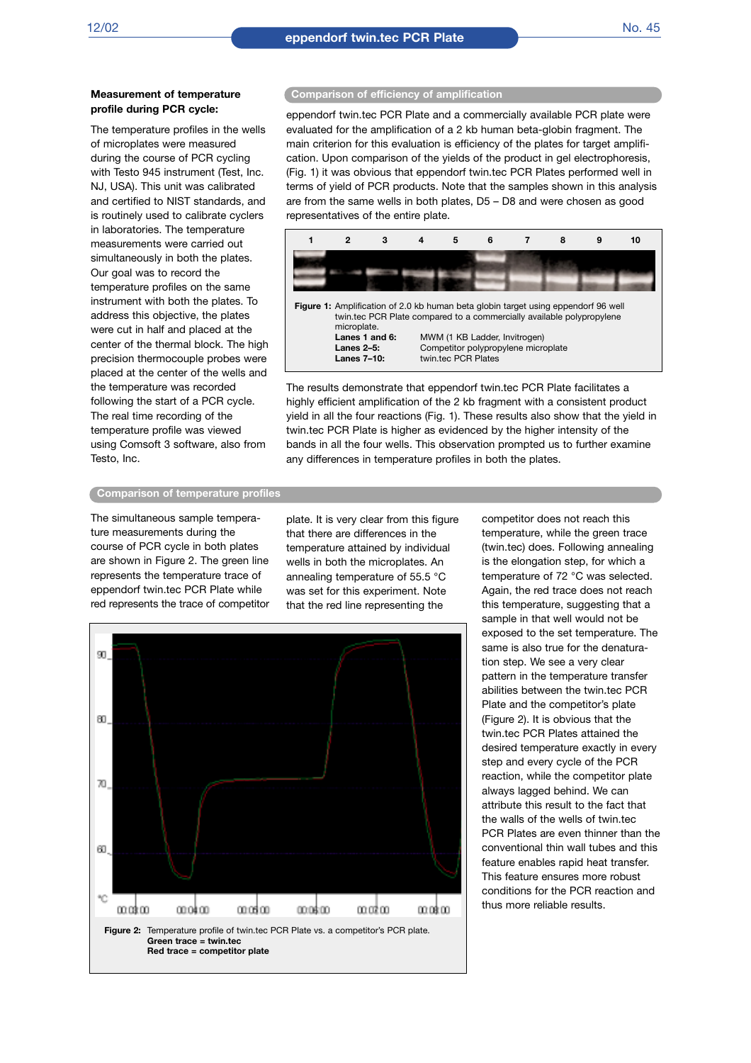#### **Measurement of temperature profile during PCR cycle:**

The temperature profiles in the wells of microplates were measured during the course of PCR cycling with Testo 945 instrument (Test, Inc. NJ, USA). This unit was calibrated and certified to NIST standards, and is routinely used to calibrate cyclers in laboratories. The temperature measurements were carried out simultaneously in both the plates. Our goal was to record the temperature profiles on the same instrument with both the plates. To address this objective, the plates were cut in half and placed at the center of the thermal block. The high precision thermocouple probes were placed at the center of the wells and the temperature was recorded following the start of a PCR cycle. The real time recording of the temperature profile was viewed using Comsoft 3 software, also from Testo, Inc.

#### **Comparison of efficiency of amplification**

eppendorf twin.tec PCR Plate and a commercially available PCR plate were evaluated for the amplification of a 2 kb human beta-globin fragment. The main criterion for this evaluation is efficiency of the plates for target amplification. Upon comparison of the yields of the product in gel electrophoresis, (Fig. 1) it was obvious that eppendorf twin.tec PCR Plates performed well in terms of yield of PCR products. Note that the samples shown in this analysis are from the same wells in both plates, D5 – D8 and were chosen as good representatives of the entire plate.



The results demonstrate that eppendorf twin.tec PCR Plate facilitates a highly efficient amplification of the 2 kb fragment with a consistent product yield in all the four reactions (Fig. 1). These results also show that the yield in twin.tec PCR Plate is higher as evidenced by the higher intensity of the bands in all the four wells. This observation prompted us to further examine any differences in temperature profiles in both the plates.

#### **Comparison of temperature profiles**

The simultaneous sample temperature measurements during the course of PCR cycle in both plates are shown in Figure 2. The green line represents the temperature trace of eppendorf twin.tec PCR Plate while red represents the trace of competitor

plate. It is very clear from this figure that there are differences in the temperature attained by individual wells in both the microplates. An annealing temperature of 55.5 °C was set for this experiment. Note that the red line representing the



competitor does not reach this temperature, while the green trace (twin.tec) does. Following annealing is the elongation step, for which a temperature of 72 °C was selected. Again, the red trace does not reach this temperature, suggesting that a sample in that well would not be exposed to the set temperature. The same is also true for the denaturation step. We see a very clear pattern in the temperature transfer abilities between the twin.tec PCR Plate and the competitor's plate (Figure 2). It is obvious that the twin.tec PCR Plates attained the desired temperature exactly in every step and every cycle of the PCR reaction, while the competitor plate always lagged behind. We can attribute this result to the fact that the walls of the wells of twin.tec PCR Plates are even thinner than the conventional thin wall tubes and this feature enables rapid heat transfer This feature ensures more robust conditions for the PCR reaction and thus more reliable results.